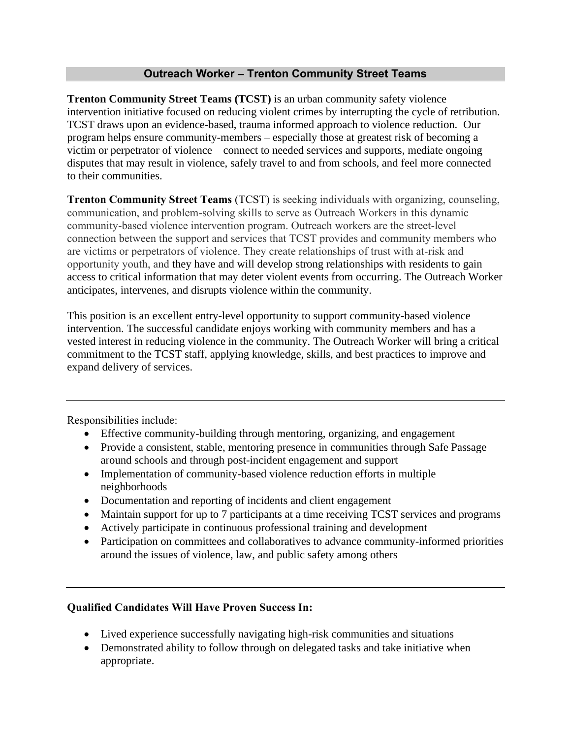## **Outreach Worker – Trenton Community Street Teams**

**Trenton Community Street Teams (TCST)** is an urban community safety violence intervention initiative focused on reducing violent crimes by interrupting the cycle of retribution. TCST draws upon an evidence-based, trauma informed approach to violence reduction. Our program helps ensure community-members – especially those at greatest risk of becoming a victim or perpetrator of violence – connect to needed services and supports, mediate ongoing disputes that may result in violence, safely travel to and from schools, and feel more connected to their communities.

**Trenton Community Street Teams** (TCST) is seeking individuals with organizing, counseling, communication, and problem-solving skills to serve as Outreach Workers in this dynamic community-based violence intervention program. Outreach workers are the street-level connection between the support and services that TCST provides and community members who are victims or perpetrators of violence. They create relationships of trust with at-risk and opportunity youth, and they have and will develop strong relationships with residents to gain access to critical information that may deter violent events from occurring. The Outreach Worker anticipates, intervenes, and disrupts violence within the community.

This position is an excellent entry-level opportunity to support community-based violence intervention. The successful candidate enjoys working with community members and has a vested interest in reducing violence in the community. The Outreach Worker will bring a critical commitment to the TCST staff, applying knowledge, skills, and best practices to improve and expand delivery of services.

Responsibilities include:

- Effective community-building through mentoring, organizing, and engagement
- Provide a consistent, stable, mentoring presence in communities through Safe Passage around schools and through post-incident engagement and support
- Implementation of community-based violence reduction efforts in multiple neighborhoods
- Documentation and reporting of incidents and client engagement
- Maintain support for up to 7 participants at a time receiving TCST services and programs
- Actively participate in continuous professional training and development
- Participation on committees and collaboratives to advance community-informed priorities around the issues of violence, law, and public safety among others

## **Qualified Candidates Will Have Proven Success In:**

- Lived experience successfully navigating high-risk communities and situations
- Demonstrated ability to follow through on delegated tasks and take initiative when appropriate.